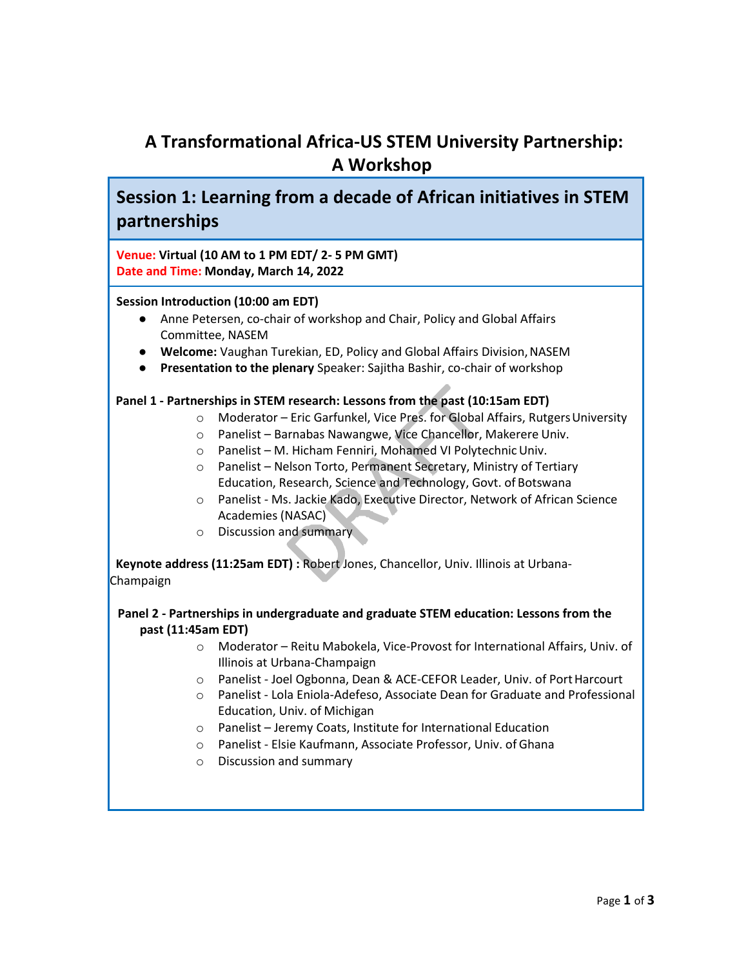# **A Transformational Africa-US STEM University Partnership: A Workshop**

**Session 1: Learning from a decade of African initiatives in STEM partnerships**

**Venue: Virtual (10 AM to 1 PM EDT/ 2- 5 PM GMT) Date and Time: Monday, March 14, 2022**

#### **Session Introduction (10:00 am EDT)**

- Anne Petersen, co-chair of workshop and Chair, Policy and Global Affairs Committee, NASEM
- **Welcome:** Vaughan Turekian, ED, Policy and Global Affairs Division,NASEM
- Presentation to the plenary Speaker: Sajitha Bashir, co-chair of workshop

# **Panel 1 - Partnerships in STEM research: Lessons from the past (10:15am EDT)**

- o Moderator Eric Garfunkel, Vice Pres. for Global Affairs, RutgersUniversity
- o Panelist Barnabas Nawangwe, Vice Chancellor, Makerere Univ.
- o Panelist M. Hicham Fenniri, Mohamed VI PolytechnicUniv.
- o Panelist Nelson Torto, Permanent Secretary, Ministry of Tertiary Education, Research, Science and Technology, Govt. of Botswana
- o Panelist Ms. Jackie Kado, Executive Director, Network of African Science Academies (NASAC)
- o Discussion and summary

 **Keynote address (11:25am EDT) :** Robert Jones, Chancellor, Univ. Illinois at Urbana-Champaign

# **Panel 2 - Partnerships in undergraduate and graduate STEM education: Lessons from the past (11:45am EDT)**

- o Moderator Reitu Mabokela, Vice-Provost for International Affairs, Univ. of Illinois at Urbana-Champaign
- o Panelist Joel Ogbonna, Dean & ACE-CEFOR Leader, Univ. of PortHarcourt
- o Panelist Lola Eniola-Adefeso, Associate Dean for Graduate and Professional Education, Univ. of Michigan
- o Panelist Jeremy Coats, Institute for International Education
- o Panelist Elsie Kaufmann, Associate Professor, Univ. of Ghana
- o Discussion and summary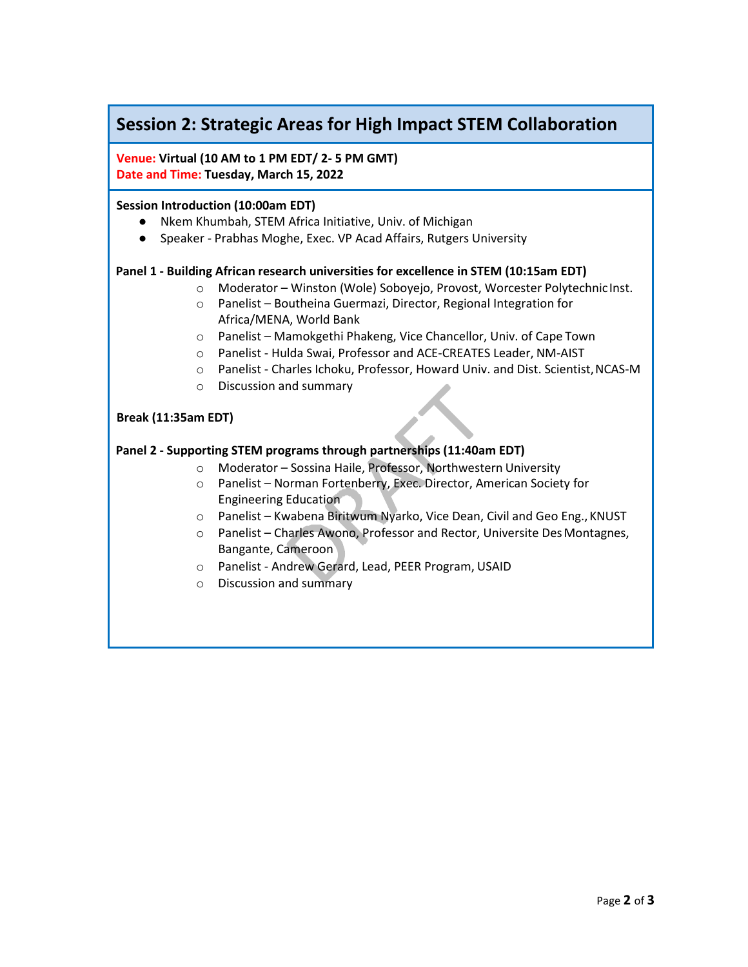# **Session 2: Strategic Areas for High Impact STEM Collaboration**

**Venue: Virtual (10 AM to 1 PM EDT/ 2- 5 PM GMT) Date and Time: Tuesday, March 15, 2022**

#### **Session Introduction (10:00am EDT)**

- Nkem Khumbah, STEM Africa Initiative, Univ. of Michigan
- Speaker Prabhas Moghe, Exec. VP Acad Affairs, Rutgers University

#### **Panel 1 - Building African research universities for excellence in STEM (10:15am EDT)**

- o Moderator Winston (Wole) Soboyejo, Provost, Worcester Polytechnic Inst.
- o Panelist Boutheina Guermazi, Director, Regional Integration for Africa/MENA, World Bank
- o Panelist Mamokgethi Phakeng, Vice Chancellor, Univ. of Cape Town
- o Panelist Hulda Swai, Professor and ACE-CREATES Leader, NM-AIST
- o Panelist Charles Ichoku, Professor, Howard Univ. and Dist. Scientist,NCAS-M
- o Discussion and summary

#### **Break (11:35am EDT)**

# **Panel 2 - Supporting STEM programs through partnerships (11:40am EDT)**

- o Moderator Sossina Haile, Professor, Northwestern University
- o Panelist Norman Fortenberry, Exec. Director, American Society for Engineering Education
- o Panelist Kwabena Biritwum Nyarko, Vice Dean, Civil and Geo Eng.,KNUST
- o Panelist Charles Awono, Professor and Rector, Universite DesMontagnes, Bangante, Cameroon
- o Panelist Andrew Gerard, Lead, PEER Program, USAID
- o Discussion and summary